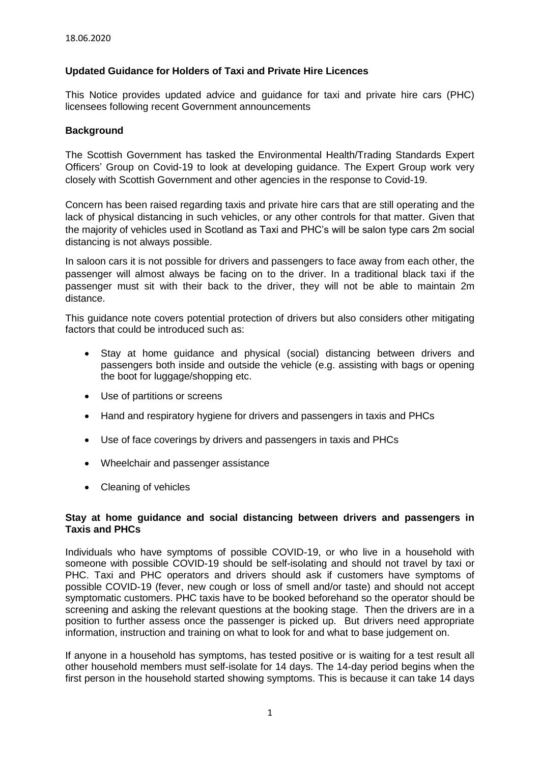# **Updated Guidance for Holders of Taxi and Private Hire Licences**

This Notice provides updated advice and guidance for taxi and private hire cars (PHC) licensees following recent Government announcements

## **Background**

The Scottish Government has tasked the Environmental Health/Trading Standards Expert Officers' Group on Covid-19 to look at developing guidance. The Expert Group work very closely with Scottish Government and other agencies in the response to Covid-19.

Concern has been raised regarding taxis and private hire cars that are still operating and the lack of physical distancing in such vehicles, or any other controls for that matter. Given that the majority of vehicles used in Scotland as Taxi and PHC's will be salon type cars 2m social distancing is not always possible.

In saloon cars it is not possible for drivers and passengers to face away from each other, the passenger will almost always be facing on to the driver. In a traditional black taxi if the passenger must sit with their back to the driver, they will not be able to maintain 2m distance.

This guidance note covers potential protection of drivers but also considers other mitigating factors that could be introduced such as:

- Stay at home guidance and physical (social) distancing between drivers and passengers both inside and outside the vehicle (e.g. assisting with bags or opening the boot for luggage/shopping etc.
- Use of partitions or screens
- Hand and respiratory hygiene for drivers and passengers in taxis and PHCs
- Use of face coverings by drivers and passengers in taxis and PHCs
- Wheelchair and passenger assistance
- Cleaning of vehicles

## **Stay at home guidance and social distancing between drivers and passengers in Taxis and PHCs**

Individuals who have symptoms of possible COVID-19, or who live in a household with someone with possible COVID-19 should be self-isolating and should not travel by taxi or PHC. Taxi and PHC operators and drivers should ask if customers have symptoms of possible COVID-19 (fever, new cough or loss of smell and/or taste) and should not accept symptomatic customers. PHC taxis have to be booked beforehand so the operator should be screening and asking the relevant questions at the booking stage. Then the drivers are in a position to further assess once the passenger is picked up. But drivers need appropriate information, instruction and training on what to look for and what to base judgement on.

If anyone in a household has symptoms, has tested positive or is waiting for a test result all other household members must self-isolate for 14 days. The 14-day period begins when the first person in the household started showing symptoms. This is because it can take 14 days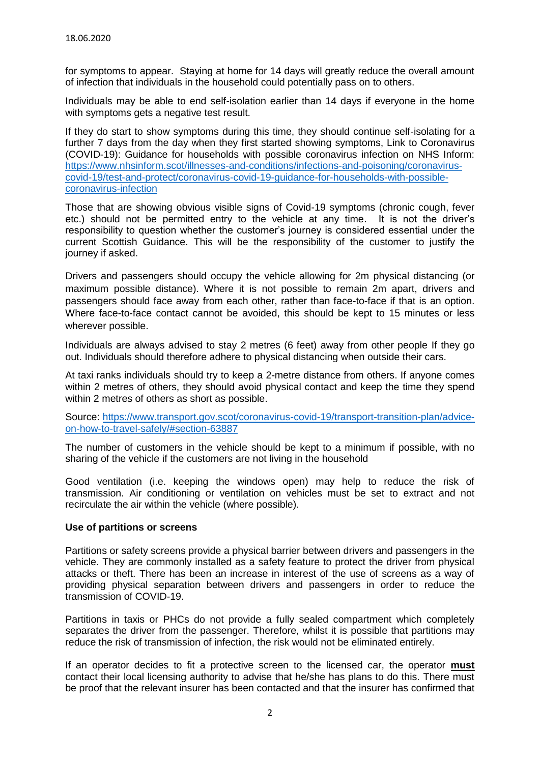for symptoms to appear. Staying at home for 14 days will greatly reduce the overall amount of infection that individuals in the household could potentially pass on to others.

Individuals may be able to end self-isolation earlier than 14 days if everyone in the home with symptoms gets a negative test result.

If they do start to show symptoms during this time, they should continue self-isolating for a further 7 days from the day when they first started showing symptoms, Link to Coronavirus (COVID-19): Guidance for households with possible coronavirus infection on NHS Inform: [https://www.nhsinform.scot/illnesses-and-conditions/infections-and-poisoning/coronavirus](https://www.nhsinform.scot/illnesses-and-conditions/infections-and-poisoning/coronavirus-covid-19/test-and-protect/coronavirus-covid-19-guidance-for-households-with-possible-coronavirus-infection)[covid-19/test-and-protect/coronavirus-covid-19-guidance-for-households-with-possible](https://www.nhsinform.scot/illnesses-and-conditions/infections-and-poisoning/coronavirus-covid-19/test-and-protect/coronavirus-covid-19-guidance-for-households-with-possible-coronavirus-infection)[coronavirus-infection](https://www.nhsinform.scot/illnesses-and-conditions/infections-and-poisoning/coronavirus-covid-19/test-and-protect/coronavirus-covid-19-guidance-for-households-with-possible-coronavirus-infection)

Those that are showing obvious visible signs of Covid-19 symptoms (chronic cough, fever etc.) should not be permitted entry to the vehicle at any time. It is not the driver's responsibility to question whether the customer's journey is considered essential under the current Scottish Guidance. This will be the responsibility of the customer to justify the journey if asked.

Drivers and passengers should occupy the vehicle allowing for 2m physical distancing (or maximum possible distance). Where it is not possible to remain 2m apart, drivers and passengers should face away from each other, rather than face-to-face if that is an option. Where face-to-face contact cannot be avoided, this should be kept to 15 minutes or less wherever possible.

Individuals are always advised to stay 2 metres (6 feet) away from other people If they go out. Individuals should therefore adhere to physical distancing when outside their cars.

At taxi ranks individuals should try to keep a 2-metre distance from others. If anyone comes within 2 metres of others, they should avoid physical contact and keep the time they spend within 2 metres of others as short as possible.

Source: [https://www.transport.gov.scot/coronavirus-covid-19/transport-transition-plan/advice](https://www.transport.gov.scot/coronavirus-covid-19/transport-transition-plan/advice-on-how-to-travel-safely/#section-63887)[on-how-to-travel-safely/#section-63887](https://www.transport.gov.scot/coronavirus-covid-19/transport-transition-plan/advice-on-how-to-travel-safely/#section-63887)

The number of customers in the vehicle should be kept to a minimum if possible, with no sharing of the vehicle if the customers are not living in the household

Good ventilation (i.e. keeping the windows open) may help to reduce the risk of transmission. Air conditioning or ventilation on vehicles must be set to extract and not recirculate the air within the vehicle (where possible).

## **Use of partitions or screens**

Partitions or safety screens provide a physical barrier between drivers and passengers in the vehicle. They are commonly installed as a safety feature to protect the driver from physical attacks or theft. There has been an increase in interest of the use of screens as a way of providing physical separation between drivers and passengers in order to reduce the transmission of COVID-19.

Partitions in taxis or PHCs do not provide a fully sealed compartment which completely separates the driver from the passenger. Therefore, whilst it is possible that partitions may reduce the risk of transmission of infection, the risk would not be eliminated entirely.

If an operator decides to fit a protective screen to the licensed car, the operator **must** contact their local licensing authority to advise that he/she has plans to do this. There must be proof that the relevant insurer has been contacted and that the insurer has confirmed that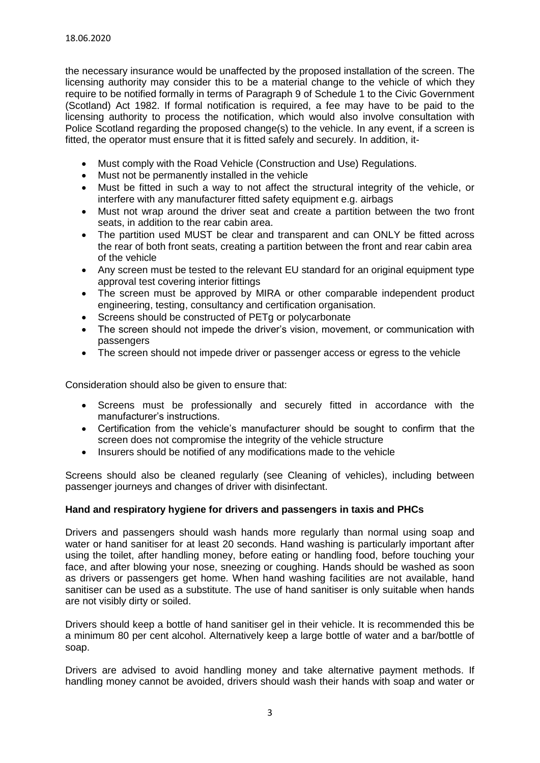the necessary insurance would be unaffected by the proposed installation of the screen. The licensing authority may consider this to be a material change to the vehicle of which they require to be notified formally in terms of Paragraph 9 of Schedule 1 to the Civic Government (Scotland) Act 1982. If formal notification is required, a fee may have to be paid to the licensing authority to process the notification, which would also involve consultation with Police Scotland regarding the proposed change(s) to the vehicle. In any event, if a screen is fitted, the operator must ensure that it is fitted safely and securely. In addition, it-

- Must comply with the Road Vehicle (Construction and Use) Regulations.
- Must not be permanently installed in the vehicle
- Must be fitted in such a way to not affect the structural integrity of the vehicle, or interfere with any manufacturer fitted safety equipment e.g. airbags
- Must not wrap around the driver seat and create a partition between the two front seats, in addition to the rear cabin area.
- The partition used MUST be clear and transparent and can ONLY be fitted across the rear of both front seats, creating a partition between the front and rear cabin area of the vehicle
- Any screen must be tested to the relevant EU standard for an original equipment type approval test covering interior fittings
- The screen must be approved by MIRA or other comparable independent product engineering, testing, consultancy and certification organisation.
- Screens should be constructed of PET<sub>g</sub> or polycarbonate
- The screen should not impede the driver's vision, movement, or communication with passengers
- The screen should not impede driver or passenger access or egress to the vehicle

Consideration should also be given to ensure that:

- Screens must be professionally and securely fitted in accordance with the manufacturer's instructions.
- Certification from the vehicle's manufacturer should be sought to confirm that the screen does not compromise the integrity of the vehicle structure
- Insurers should be notified of any modifications made to the vehicle

Screens should also be cleaned regularly (see Cleaning of vehicles), including between passenger journeys and changes of driver with disinfectant.

# **Hand and respiratory hygiene for drivers and passengers in taxis and PHCs**

Drivers and passengers should wash hands more regularly than normal using soap and water or hand sanitiser for at least 20 seconds. Hand washing is particularly important after using the toilet, after handling money, before eating or handling food, before touching your face, and after blowing your nose, sneezing or coughing. Hands should be washed as soon as drivers or passengers get home. When hand washing facilities are not available, hand sanitiser can be used as a substitute. The use of hand sanitiser is only suitable when hands are not visibly dirty or soiled.

Drivers should keep a bottle of hand sanitiser gel in their vehicle. It is recommended this be a minimum 80 per cent alcohol. Alternatively keep a large bottle of water and a bar/bottle of soap.

Drivers are advised to avoid handling money and take alternative payment methods. If handling money cannot be avoided, drivers should wash their hands with soap and water or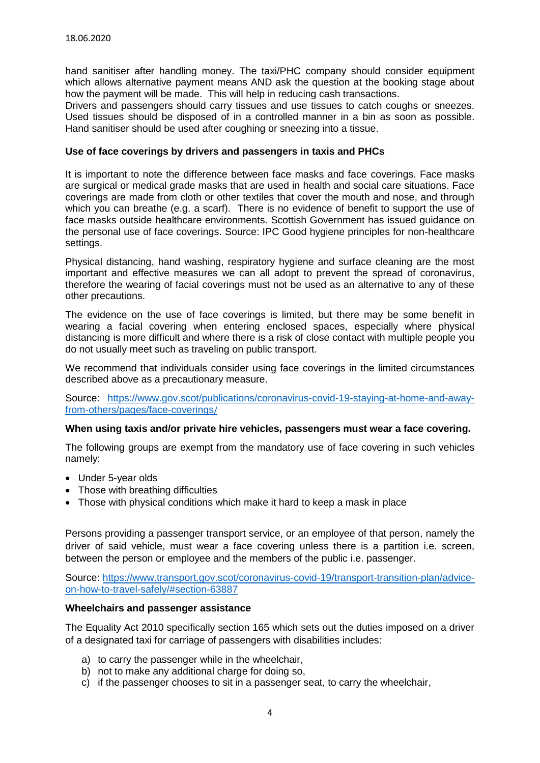hand sanitiser after handling money. The taxi/PHC company should consider equipment which allows alternative payment means AND ask the question at the booking stage about how the payment will be made. This will help in reducing cash transactions.

Drivers and passengers should carry tissues and use tissues to catch coughs or sneezes. Used tissues should be disposed of in a controlled manner in a bin as soon as possible. Hand sanitiser should be used after coughing or sneezing into a tissue.

## **Use of face coverings by drivers and passengers in taxis and PHCs**

It is important to note the difference between face masks and face coverings. Face masks are surgical or medical grade masks that are used in health and social care situations. Face coverings are made from cloth or other textiles that cover the mouth and nose, and through which you can breathe (e.g. a scarf). There is no evidence of benefit to support the use of face masks outside healthcare environments. Scottish Government has issued guidance on the personal use of face coverings. Source: IPC Good hygiene principles for non-healthcare settings.

Physical distancing, hand washing, respiratory hygiene and surface cleaning are the most important and effective measures we can all adopt to prevent the spread of coronavirus, therefore the wearing of facial coverings must not be used as an alternative to any of these other precautions.

The evidence on the use of face coverings is limited, but there may be some benefit in wearing a facial covering when entering enclosed spaces, especially where physical distancing is more difficult and where there is a risk of close contact with multiple people you do not usually meet such as traveling on public transport.

We recommend that individuals consider using face coverings in the limited circumstances described above as a precautionary measure.

Source: [https://www.gov.scot/publications/coronavirus-covid-19-staying-at-home-and-away](https://www.gov.scot/publications/coronavirus-covid-19-staying-at-home-and-away-from-others/pages/face-coverings/)[from-others/pages/face-coverings](https://www.gov.scot/publications/coronavirus-covid-19-staying-at-home-and-away-from-others/pages/face-coverings/)/

## **When using taxis and/or private hire vehicles, passengers must wear a face covering.**

The following groups are exempt from the mandatory use of face covering in such vehicles namely:

- Under 5-year olds
- Those with breathing difficulties
- Those with physical conditions which make it hard to keep a mask in place

Persons providing a passenger transport service, or an employee of that person, namely the driver of said vehicle, must wear a face covering unless there is a partition i.e. screen, between the person or employee and the members of the public i.e. passenger.

Source: [https://www.transport.gov.scot/coronavirus-covid-19/transport-transition-plan/advice](https://www.transport.gov.scot/coronavirus-covid-19/transport-transition-plan/advice-on-how-to-travel-safely/#section-63887)[on-how-to-travel-safely/#section-63887](https://www.transport.gov.scot/coronavirus-covid-19/transport-transition-plan/advice-on-how-to-travel-safely/#section-63887)

## **Wheelchairs and passenger assistance**

The Equality Act 2010 specifically section 165 which sets out the duties imposed on a driver of a designated taxi for carriage of passengers with disabilities includes:

- a) to carry the passenger while in the wheelchair,
- b) not to make any additional charge for doing so.
- c) if the passenger chooses to sit in a passenger seat, to carry the wheelchair,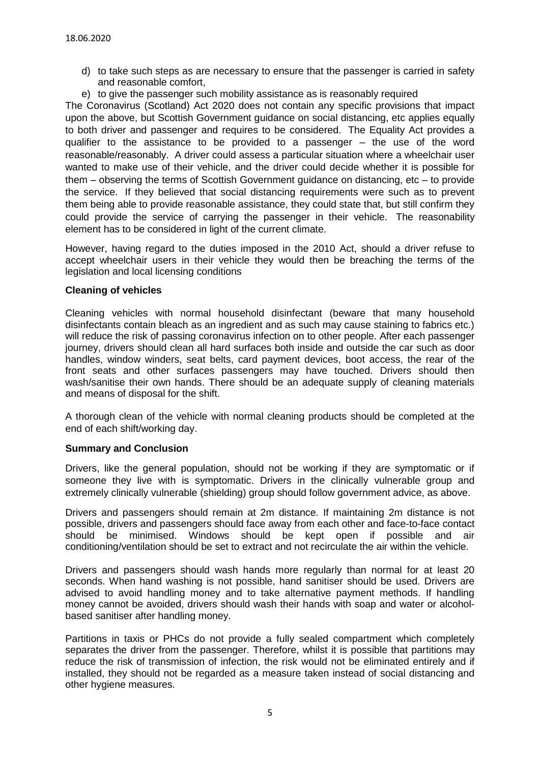- d) to take such steps as are necessary to ensure that the passenger is carried in safety and reasonable comfort,
- e) to give the passenger such mobility assistance as is reasonably required

The Coronavirus (Scotland) Act 2020 does not contain any specific provisions that impact upon the above, but Scottish Government guidance on social distancing, etc applies equally to both driver and passenger and requires to be considered. The Equality Act provides a qualifier to the assistance to be provided to a passenger – the use of the word reasonable/reasonably. A driver could assess a particular situation where a wheelchair user wanted to make use of their vehicle, and the driver could decide whether it is possible for them – observing the terms of Scottish Government guidance on distancing, etc – to provide the service. If they believed that social distancing requirements were such as to prevent them being able to provide reasonable assistance, they could state that, but still confirm they could provide the service of carrying the passenger in their vehicle. The reasonability element has to be considered in light of the current climate.

However, having regard to the duties imposed in the 2010 Act, should a driver refuse to accept wheelchair users in their vehicle they would then be breaching the terms of the legislation and local licensing conditions

## **Cleaning of vehicles**

Cleaning vehicles with normal household disinfectant (beware that many household disinfectants contain bleach as an ingredient and as such may cause staining to fabrics etc.) will reduce the risk of passing coronavirus infection on to other people. After each passenger journey, drivers should clean all hard surfaces both inside and outside the car such as door handles, window winders, seat belts, card payment devices, boot access, the rear of the front seats and other surfaces passengers may have touched. Drivers should then wash/sanitise their own hands. There should be an adequate supply of cleaning materials and means of disposal for the shift.

A thorough clean of the vehicle with normal cleaning products should be completed at the end of each shift/working day.

## **Summary and Conclusion**

Drivers, like the general population, should not be working if they are symptomatic or if someone they live with is symptomatic. Drivers in the clinically vulnerable group and extremely clinically vulnerable (shielding) group should follow government advice, as above.

Drivers and passengers should remain at 2m distance. If maintaining 2m distance is not possible, drivers and passengers should face away from each other and face-to-face contact should be minimised. Windows should be kept open if possible and air conditioning/ventilation should be set to extract and not recirculate the air within the vehicle.

Drivers and passengers should wash hands more regularly than normal for at least 20 seconds. When hand washing is not possible, hand sanitiser should be used. Drivers are advised to avoid handling money and to take alternative payment methods. If handling money cannot be avoided, drivers should wash their hands with soap and water or alcoholbased sanitiser after handling money.

Partitions in taxis or PHCs do not provide a fully sealed compartment which completely separates the driver from the passenger. Therefore, whilst it is possible that partitions may reduce the risk of transmission of infection, the risk would not be eliminated entirely and if installed, they should not be regarded as a measure taken instead of social distancing and other hygiene measures.